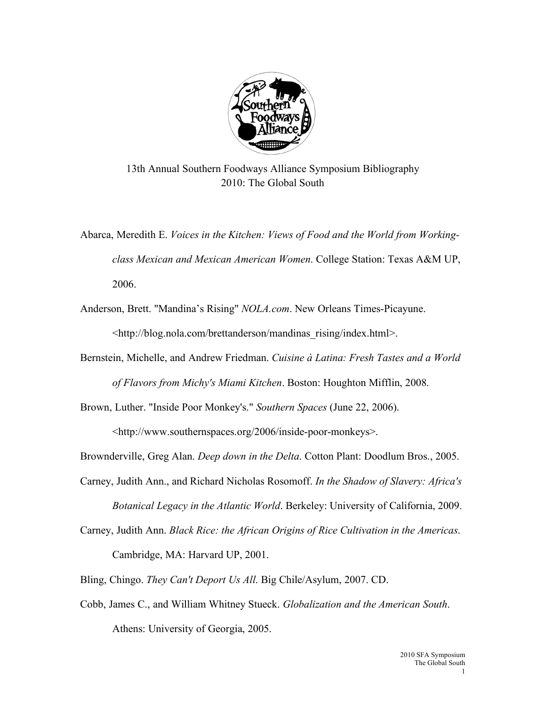

13th Annual Southern Foodways Alliance Symposium Bibliography 2010: The Global South

Abarca, Meredith E. *Voices in the Kitchen: Views of Food and the World from Workingclass Mexican and Mexican American Women*. College Station: Texas A&M UP, 2006.

Anderson, Brett. "Mandina's Rising" *NOLA.com*. New Orleans Times-Picayune.

<http://blog.nola.com/brettanderson/mandinas\_rising/index.html>.

Bernstein, Michelle, and Andrew Friedman. *Cuisine à Latina: Fresh Tastes and a World of Flavors from Michy's Miami Kitchen*. Boston: Houghton Mifflin, 2008.

Brown, Luther. "Inside Poor Monkey's." *Southern Spaces* (June 22, 2006).

<http://www.southernspaces.org/2006/inside-poor-monkeys>.

Brownderville, Greg Alan. *Deep down in the Delta*. Cotton Plant: Doodlum Bros., 2005.

- Carney, Judith Ann., and Richard Nicholas Rosomoff. *In the Shadow of Slavery: Africa's Botanical Legacy in the Atlantic World*. Berkeley: University of California, 2009.
- Carney, Judith Ann. *Black Rice: the African Origins of Rice Cultivation in the Americas*. Cambridge, MA: Harvard UP, 2001.

Bling, Chingo. *They Can't Deport Us All*. Big Chile/Asylum, 2007. CD.

Cobb, James C., and William Whitney Stueck. *Globalization and the American South*. Athens: University of Georgia, 2005.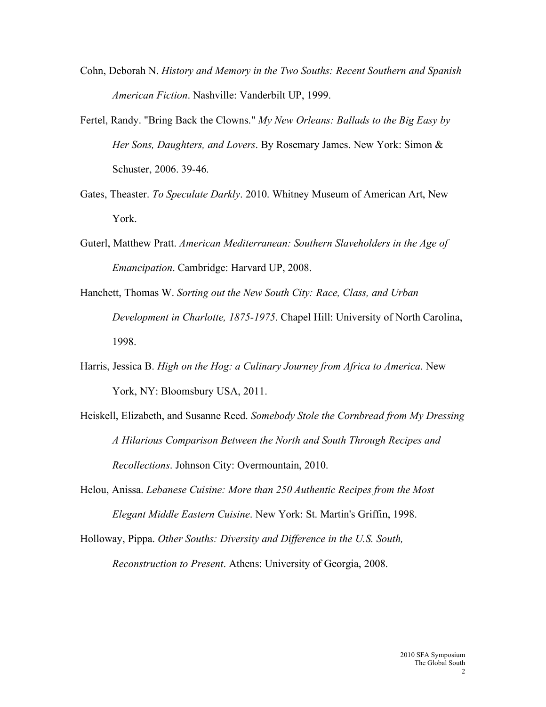- Cohn, Deborah N. *History and Memory in the Two Souths: Recent Southern and Spanish American Fiction*. Nashville: Vanderbilt UP, 1999.
- Fertel, Randy. "Bring Back the Clowns." *My New Orleans: Ballads to the Big Easy by Her Sons, Daughters, and Lovers*. By Rosemary James. New York: Simon & Schuster, 2006. 39-46.
- Gates, Theaster. *To Speculate Darkly*. 2010. Whitney Museum of American Art, New York.
- Guterl, Matthew Pratt. *American Mediterranean: Southern Slaveholders in the Age of Emancipation*. Cambridge: Harvard UP, 2008.
- Hanchett, Thomas W. *Sorting out the New South City: Race, Class, and Urban Development in Charlotte, 1875-1975*. Chapel Hill: University of North Carolina, 1998.
- Harris, Jessica B. *High on the Hog: a Culinary Journey from Africa to America*. New York, NY: Bloomsbury USA, 2011.
- Heiskell, Elizabeth, and Susanne Reed. *Somebody Stole the Cornbread from My Dressing A Hilarious Comparison Between the North and South Through Recipes and Recollections*. Johnson City: Overmountain, 2010.
- Helou, Anissa. *Lebanese Cuisine: More than 250 Authentic Recipes from the Most Elegant Middle Eastern Cuisine*. New York: St. Martin's Griffin, 1998.
- Holloway, Pippa. *Other Souths: Diversity and Difference in the U.S. South, Reconstruction to Present*. Athens: University of Georgia, 2008.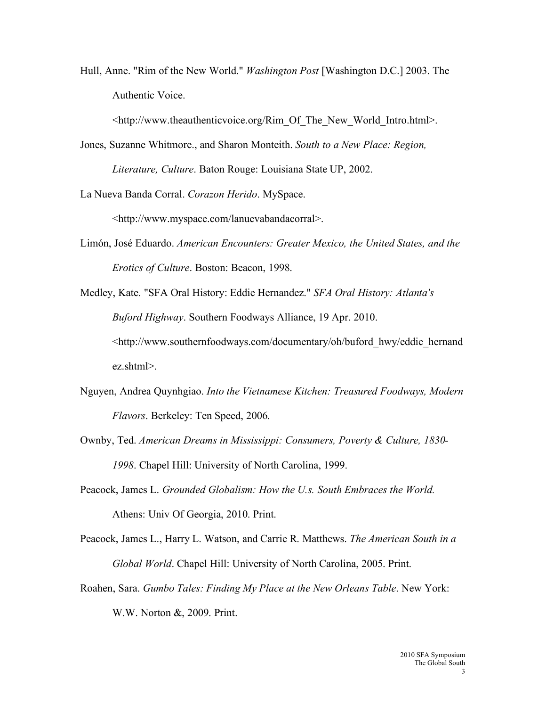Hull, Anne. "Rim of the New World." *Washington Post* [Washington D.C.] 2003. The Authentic Voice.

<http://www.theauthenticvoice.org/Rim\_Of\_The\_New\_World\_Intro.html>.

Jones, Suzanne Whitmore., and Sharon Monteith. *South to a New Place: Region, Literature, Culture*. Baton Rouge: Louisiana State UP, 2002.

La Nueva Banda Corral. *Corazon Herido*. MySpace.

<http://www.myspace.com/lanuevabandacorral>.

- Limón, José Eduardo. *American Encounters: Greater Mexico, the United States, and the Erotics of Culture*. Boston: Beacon, 1998.
- Medley, Kate. "SFA Oral History: Eddie Hernandez." *SFA Oral History: Atlanta's Buford Highway*. Southern Foodways Alliance, 19 Apr. 2010. <http://www.southernfoodways.com/documentary/oh/buford\_hwy/eddie\_hernand ez.shtml>.
- Nguyen, Andrea Quynhgiao. *Into the Vietnamese Kitchen: Treasured Foodways, Modern Flavors*. Berkeley: Ten Speed, 2006.
- Ownby, Ted. *American Dreams in Mississippi: Consumers, Poverty & Culture, 1830- 1998*. Chapel Hill: University of North Carolina, 1999.
- Peacock, James L. *Grounded Globalism: How the U.s. South Embraces the World.* Athens: Univ Of Georgia, 2010. Print.
- Peacock, James L., Harry L. Watson, and Carrie R. Matthews. *The American South in a Global World*. Chapel Hill: University of North Carolina, 2005. Print.
- Roahen, Sara. *Gumbo Tales: Finding My Place at the New Orleans Table*. New York: W.W. Norton &, 2009. Print.